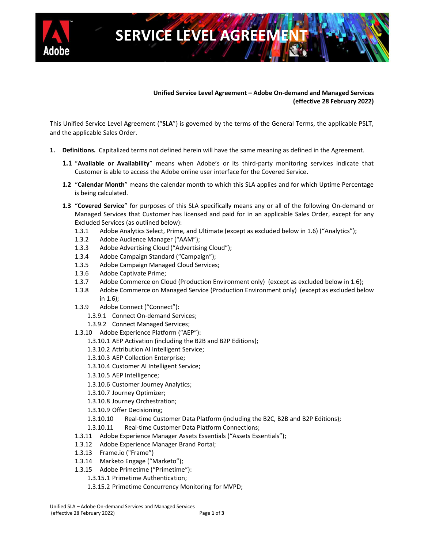

# **SERVICE LEVEL AGREEM**

### **Unified Service Level Agreement – Adobe On-demand and Managed Services (effective 28 February 2022)**

This Unified Service Level Agreement ("**SLA**") is governed by the terms of the General Terms, the applicable PSLT, and the applicable Sales Order.

- **1. Definitions.** Capitalized terms not defined herein will have the same meaning as defined in the Agreement.
	- **1.1** "**Available or Availability**" means when Adobe's or its third-party monitoring services indicate that Customer is able to access the Adobe online user interface for the Covered Service.
	- **1.2** "**Calendar Month**" means the calendar month to which this SLA applies and for which Uptime Percentage is being calculated.
	- **1.3** "**Covered Service**" for purposes of this SLA specifically means any or all of the following On-demand or Managed Services that Customer has licensed and paid for in an applicable Sales Order, except for any Excluded Services (as outlined below):
		- 1.3.1 Adobe Analytics Select, Prime, and Ultimate (except as excluded below in 1.6) ("Analytics");
		- 1.3.2 Adobe Audience Manager ("AAM");
		- 1.3.3 Adobe Advertising Cloud ("Advertising Cloud");
		- 1.3.4 Adobe Campaign Standard ("Campaign");
		- 1.3.5 Adobe Campaign Managed Cloud Services;
		- 1.3.6 Adobe Captivate Prime;
		- 1.3.7 Adobe Commerce on Cloud (Production Environment only) (except as excluded below in 1.6);
		- 1.3.8 Adobe Commerce on Managed Service (Production Environment only) (except as excluded below in 1.6);
		- 1.3.9 Adobe Connect ("Connect"):
			- 1.3.9.1 Connect On-demand Services;
			- 1.3.9.2 Connect Managed Services;
		- 1.3.10 Adobe Experience Platform ("AEP"):
			- 1.3.10.1 AEP Activation (including the B2B and B2P Editions);
			- 1.3.10.2 Attribution AI Intelligent Service;
			- 1.3.10.3 AEP Collection Enterprise;
			- 1.3.10.4 Customer AI Intelligent Service;
			- 1.3.10.5 AEP Intelligence;
			- 1.3.10.6 Customer Journey Analytics;
			- 1.3.10.7 Journey Optimizer;
			- 1.3.10.8 Journey Orchestration;
			- 1.3.10.9 Offer Decisioning;
			- 1.3.10.10 Real-time Customer Data Platform (including the B2C, B2B and B2P Editions);
			- 1.3.10.11 Real-time Customer Data Platform Connections;
		- 1.3.11 Adobe Experience Manager Assets Essentials ("Assets Essentials");
		- 1.3.12 Adobe Experience Manager Brand Portal;
		- 1.3.13 Frame.io ("Frame")
		- 1.3.14 Marketo Engage ("Marketo");
		- 1.3.15 Adobe Primetime ("Primetime"):
			- 1.3.15.1 Primetime Authentication;
			- 1.3.15.2 Primetime Concurrency Monitoring for MVPD;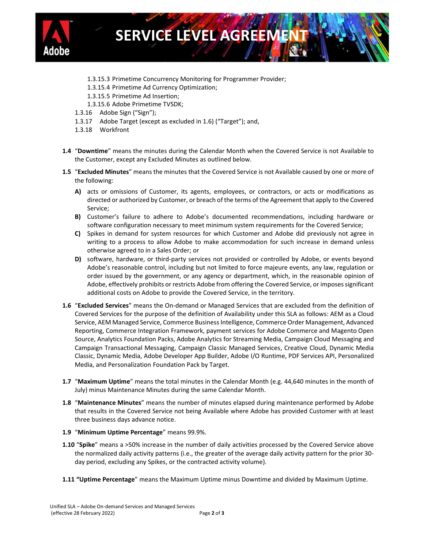

## **SERVICE LEVEL AGREEN**

- 1.3.15.3 Primetime Concurrency Monitoring for Programmer Provider;
- 1.3.15.4 Primetime Ad Currency Optimization;
- 1.3.15.5 Primetime Ad Insertion;
- 1.3.15.6 Adobe Primetime TVSDK;
- 1.3.16 Adobe Sign ("Sign");
- 1.3.17 Adobe Target (except as excluded in 1.6) ("Target"); and,
- 1.3.18 Workfront
- **1.4** "**Downtime**" means the minutes during the Calendar Month when the Covered Service is not Available to the Customer, except any Excluded Minutes as outlined below.
- **1.5** "**Excluded Minutes**" means the minutes that the Covered Service is not Available caused by one or more of the following:
	- **A)** acts or omissions of Customer, its agents, employees, or contractors, or acts or modifications as directed or authorized by Customer, or breach of the terms of the Agreement that apply to the Covered Service;
	- **B)** Customer's failure to adhere to Adobe's documented recommendations, including hardware or software configuration necessary to meet minimum system requirements for the Covered Service;
	- **C)** Spikes in demand for system resources for which Customer and Adobe did previously not agree in writing to a process to allow Adobe to make accommodation for such increase in demand unless otherwise agreed to in a Sales Order; or
	- **D)** software, hardware, or third-party services not provided or controlled by Adobe, or events beyond Adobe's reasonable control, including but not limited to force majeure events, any law, regulation or order issued by the government, or any agency or department, which, in the reasonable opinion of Adobe, effectively prohibits or restricts Adobe from offering the Covered Service, or imposes significant additional costs on Adobe to provide the Covered Service, in the territory.
- **1.6** "**Excluded Services**" means the On-demand or Managed Services that are excluded from the definition of Covered Services for the purpose of the definition of Availability under this SLA as follows: AEM as a Cloud Service, AEM Managed Service, Commerce Business Intelligence, Commerce Order Management, Advanced Reporting, Commerce Integration Framework, payment services for Adobe Commerce and Magento Open Source, Analytics Foundation Packs, Adobe Analytics for Streaming Media, Campaign Cloud Messaging and Campaign Transactional Messaging, Campaign Classic Managed Services, Creative Cloud, Dynamic Media Classic, Dynamic Media, Adobe Developer App Builder, Adobe I/O Runtime, PDF Services API, Personalized Media, and Personalization Foundation Pack by Target.
- **1.7** "**Maximum Uptime**" means the total minutes in the Calendar Month (e.g. 44,640 minutes in the month of July) minus Maintenance Minutes during the same Calendar Month.
- **1.8** "**Maintenance Minutes**" means the number of minutes elapsed during maintenance performed by Adobe that results in the Covered Service not being Available where Adobe has provided Customer with at least three business days advance notice.
- **1.9** "**Minimum Uptime Percentage**" means 99.9%.
- **1.10** "**Spike**" means a >50% increase in the number of daily activities processed by the Covered Service above the normalized daily activity patterns (i.e., the greater of the average daily activity pattern for the prior 30 day period, excluding any Spikes, or the contracted activity volume).
- **1.11 "Uptime Percentage**" means the Maximum Uptime minus Downtime and divided by Maximum Uptime.